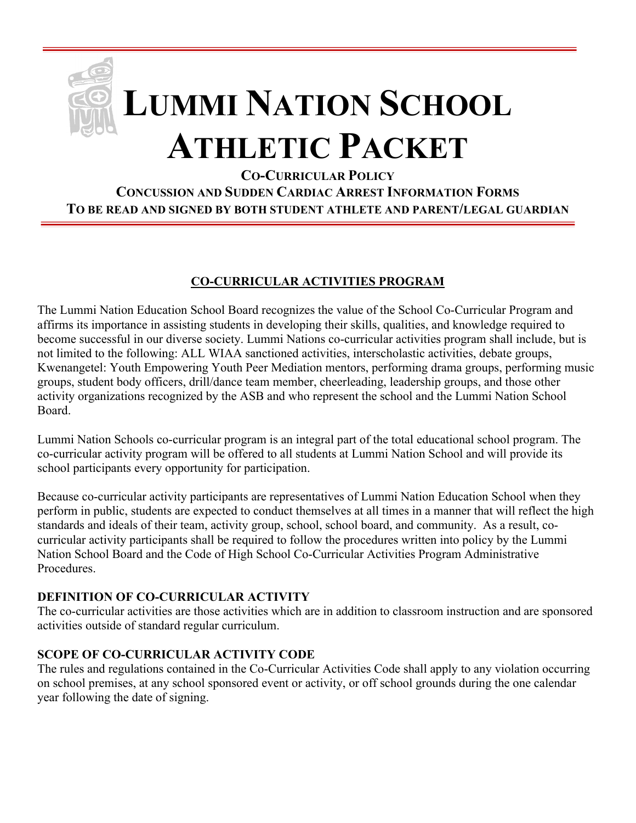# **LUMMI NATION SCHOOL ATHLETIC PACKET**

**CO-CURRICULAR POLICY CONCUSSION AND SUDDEN CARDIAC ARREST INFORMATION FORMS TO BE READ AND SIGNED BY BOTH STUDENT ATHLETE AND PARENT/LEGAL GUARDIAN**

#### **CO-CURRICULAR ACTIVITIES PROGRAM**

The Lummi Nation Education School Board recognizes the value of the School Co-Curricular Program and affirms its importance in assisting students in developing their skills, qualities, and knowledge required to become successful in our diverse society. Lummi Nations co-curricular activities program shall include, but is not limited to the following: ALL WIAA sanctioned activities, interscholastic activities, debate groups, Kwenangetel: Youth Empowering Youth Peer Mediation mentors, performing drama groups, performing music groups, student body officers, drill/dance team member, cheerleading, leadership groups, and those other activity organizations recognized by the ASB and who represent the school and the Lummi Nation School Board.

Lummi Nation Schools co-curricular program is an integral part of the total educational school program. The co-curricular activity program will be offered to all students at Lummi Nation School and will provide its school participants every opportunity for participation.

Because co-curricular activity participants are representatives of Lummi Nation Education School when they perform in public, students are expected to conduct themselves at all times in a manner that will reflect the high standards and ideals of their team, activity group, school, school board, and community. As a result, cocurricular activity participants shall be required to follow the procedures written into policy by the Lummi Nation School Board and the Code of High School Co-Curricular Activities Program Administrative Procedures.

#### **DEFINITION OF CO-CURRICULAR ACTIVITY**

The co-curricular activities are those activities which are in addition to classroom instruction and are sponsored activities outside of standard regular curriculum.

#### **SCOPE OF CO-CURRICULAR ACTIVITY CODE**

The rules and regulations contained in the Co-Curricular Activities Code shall apply to any violation occurring on school premises, at any school sponsored event or activity, or off school grounds during the one calendar year following the date of signing.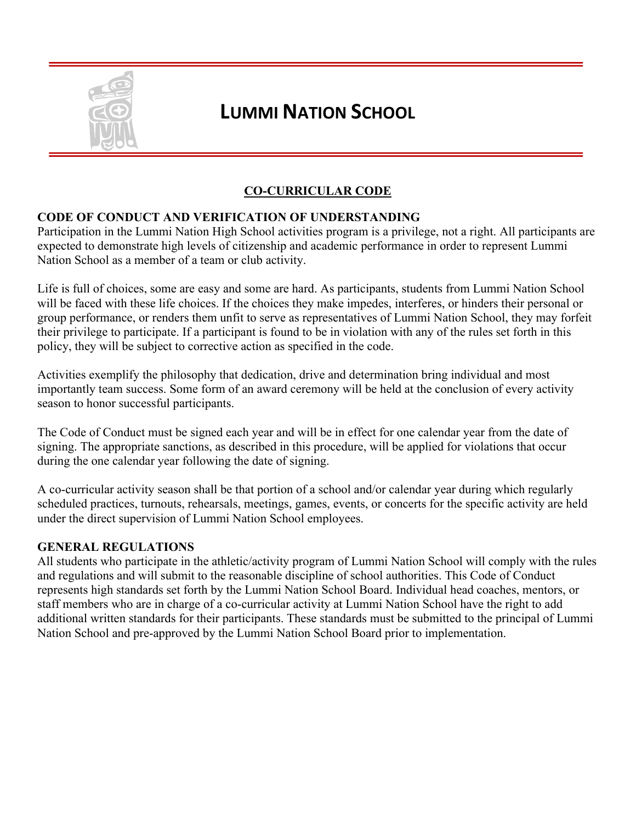

#### **CO-CURRICULAR CODE**

#### **CODE OF CONDUCT AND VERIFICATION OF UNDERSTANDING**

Participation in the Lummi Nation High School activities program is a privilege, not a right. All participants are expected to demonstrate high levels of citizenship and academic performance in order to represent Lummi Nation School as a member of a team or club activity.

Life is full of choices, some are easy and some are hard. As participants, students from Lummi Nation School will be faced with these life choices. If the choices they make impedes, interferes, or hinders their personal or group performance, or renders them unfit to serve as representatives of Lummi Nation School, they may forfeit their privilege to participate. If a participant is found to be in violation with any of the rules set forth in this policy, they will be subject to corrective action as specified in the code.

Activities exemplify the philosophy that dedication, drive and determination bring individual and most importantly team success. Some form of an award ceremony will be held at the conclusion of every activity season to honor successful participants.

The Code of Conduct must be signed each year and will be in effect for one calendar year from the date of signing. The appropriate sanctions, as described in this procedure, will be applied for violations that occur during the one calendar year following the date of signing.

A co-curricular activity season shall be that portion of a school and/or calendar year during which regularly scheduled practices, turnouts, rehearsals, meetings, games, events, or concerts for the specific activity are held under the direct supervision of Lummi Nation School employees.

#### **GENERAL REGULATIONS**

All students who participate in the athletic/activity program of Lummi Nation School will comply with the rules and regulations and will submit to the reasonable discipline of school authorities. This Code of Conduct represents high standards set forth by the Lummi Nation School Board. Individual head coaches, mentors, or staff members who are in charge of a co-curricular activity at Lummi Nation School have the right to add additional written standards for their participants. These standards must be submitted to the principal of Lummi Nation School and pre-approved by the Lummi Nation School Board prior to implementation.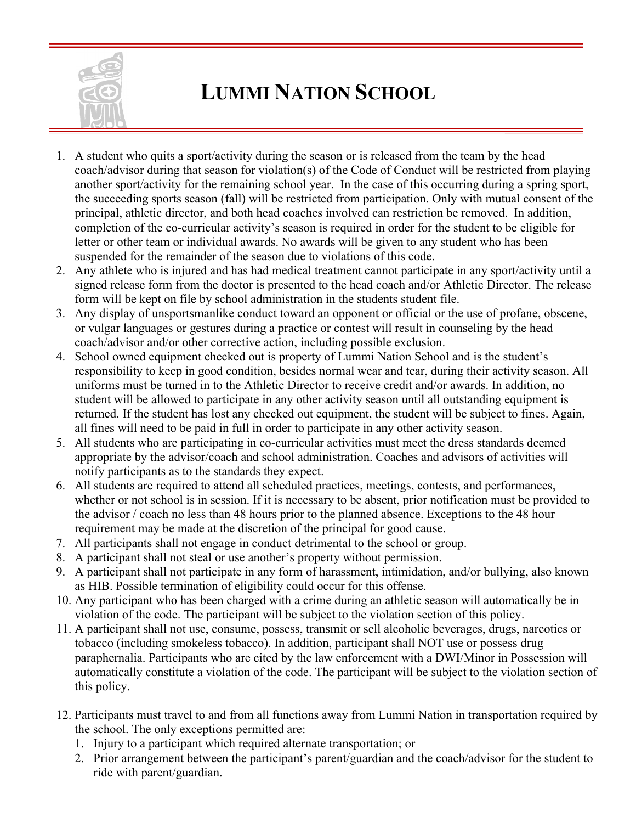

- 1. A student who quits a sport/activity during the season or is released from the team by the head coach/advisor during that season for violation(s) of the Code of Conduct will be restricted from playing another sport/activity for the remaining school year. In the case of this occurring during a spring sport, the succeeding sports season (fall) will be restricted from participation. Only with mutual consent of the principal, athletic director, and both head coaches involved can restriction be removed. In addition, completion of the co-curricular activity's season is required in order for the student to be eligible for letter or other team or individual awards. No awards will be given to any student who has been suspended for the remainder of the season due to violations of this code.
- 2. Any athlete who is injured and has had medical treatment cannot participate in any sport/activity until a signed release form from the doctor is presented to the head coach and/or Athletic Director. The release form will be kept on file by school administration in the students student file.
- 3. Any display of unsportsmanlike conduct toward an opponent or official or the use of profane, obscene, or vulgar languages or gestures during a practice or contest will result in counseling by the head coach/advisor and/or other corrective action, including possible exclusion.
- 4. School owned equipment checked out is property of Lummi Nation School and is the student's responsibility to keep in good condition, besides normal wear and tear, during their activity season. All uniforms must be turned in to the Athletic Director to receive credit and/or awards. In addition, no student will be allowed to participate in any other activity season until all outstanding equipment is returned. If the student has lost any checked out equipment, the student will be subject to fines. Again, all fines will need to be paid in full in order to participate in any other activity season.
- 5. All students who are participating in co-curricular activities must meet the dress standards deemed appropriate by the advisor/coach and school administration. Coaches and advisors of activities will notify participants as to the standards they expect.
- 6. All students are required to attend all scheduled practices, meetings, contests, and performances, whether or not school is in session. If it is necessary to be absent, prior notification must be provided to the advisor / coach no less than 48 hours prior to the planned absence. Exceptions to the 48 hour requirement may be made at the discretion of the principal for good cause.
- 7. All participants shall not engage in conduct detrimental to the school or group.
- 8. A participant shall not steal or use another's property without permission.
- 9. A participant shall not participate in any form of harassment, intimidation, and/or bullying, also known as HIB. Possible termination of eligibility could occur for this offense.
- 10. Any participant who has been charged with a crime during an athletic season will automatically be in violation of the code. The participant will be subject to the violation section of this policy.
- 11. A participant shall not use, consume, possess, transmit or sell alcoholic beverages, drugs, narcotics or tobacco (including smokeless tobacco). In addition, participant shall NOT use or possess drug paraphernalia. Participants who are cited by the law enforcement with a DWI/Minor in Possession will automatically constitute a violation of the code. The participant will be subject to the violation section of this policy.
- 12. Participants must travel to and from all functions away from Lummi Nation in transportation required by the school. The only exceptions permitted are:
	- 1. Injury to a participant which required alternate transportation; or
	- 2. Prior arrangement between the participant's parent/guardian and the coach/advisor for the student to ride with parent/guardian.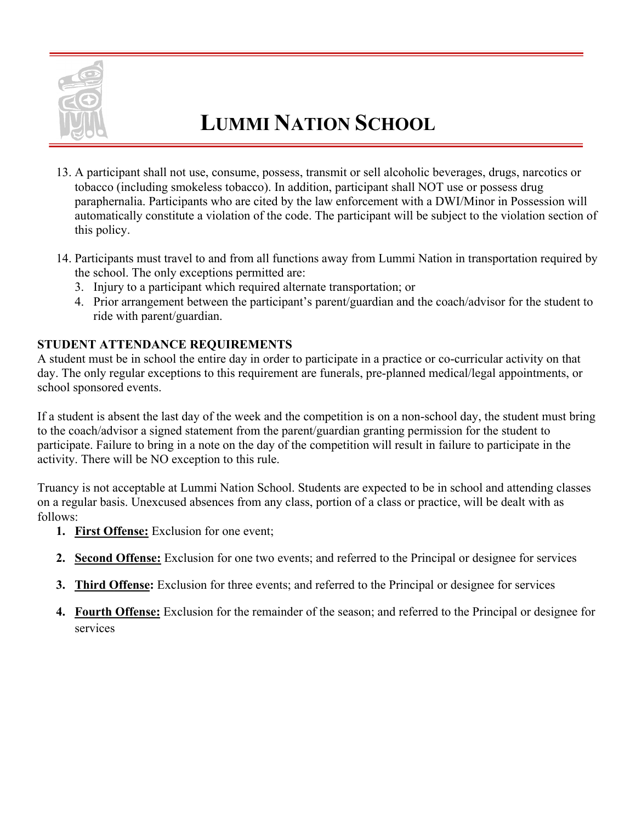

- 13. A participant shall not use, consume, possess, transmit or sell alcoholic beverages, drugs, narcotics or tobacco (including smokeless tobacco). In addition, participant shall NOT use or possess drug paraphernalia. Participants who are cited by the law enforcement with a DWI/Minor in Possession will automatically constitute a violation of the code. The participant will be subject to the violation section of this policy.
- 14. Participants must travel to and from all functions away from Lummi Nation in transportation required by the school. The only exceptions permitted are:
	- 3. Injury to a participant which required alternate transportation; or
	- 4. Prior arrangement between the participant's parent/guardian and the coach/advisor for the student to ride with parent/guardian.

#### **STUDENT ATTENDANCE REQUIREMENTS**

A student must be in school the entire day in order to participate in a practice or co-curricular activity on that day. The only regular exceptions to this requirement are funerals, pre-planned medical/legal appointments, or school sponsored events.

If a student is absent the last day of the week and the competition is on a non-school day, the student must bring to the coach/advisor a signed statement from the parent/guardian granting permission for the student to participate. Failure to bring in a note on the day of the competition will result in failure to participate in the activity. There will be NO exception to this rule.

Truancy is not acceptable at Lummi Nation School. Students are expected to be in school and attending classes on a regular basis. Unexcused absences from any class, portion of a class or practice, will be dealt with as follows:

- **1. First Offense:** Exclusion for one event;
- **2. Second Offense:** Exclusion for one two events; and referred to the Principal or designee for services
- **3. Third Offense:** Exclusion for three events; and referred to the Principal or designee for services
- **4. Fourth Offense:** Exclusion for the remainder of the season; and referred to the Principal or designee for services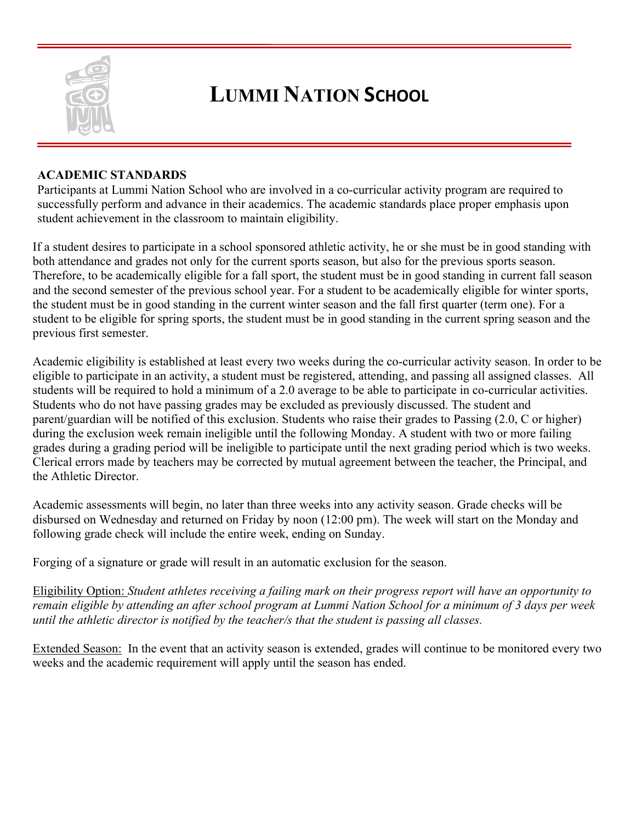

#### **ACADEMIC STANDARDS**

Participants at Lummi Nation School who are involved in a co-curricular activity program are required to successfully perform and advance in their academics. The academic standards place proper emphasis upon student achievement in the classroom to maintain eligibility.

If a student desires to participate in a school sponsored athletic activity, he or she must be in good standing with both attendance and grades not only for the current sports season, but also for the previous sports season. Therefore, to be academically eligible for a fall sport, the student must be in good standing in current fall season and the second semester of the previous school year. For a student to be academically eligible for winter sports, the student must be in good standing in the current winter season and the fall first quarter (term one). For a student to be eligible for spring sports, the student must be in good standing in the current spring season and the previous first semester.

Academic eligibility is established at least every two weeks during the co-curricular activity season. In order to be eligible to participate in an activity, a student must be registered, attending, and passing all assigned classes. All students will be required to hold a minimum of a 2.0 average to be able to participate in co-curricular activities. Students who do not have passing grades may be excluded as previously discussed. The student and parent/guardian will be notified of this exclusion. Students who raise their grades to Passing (2.0, C or higher) during the exclusion week remain ineligible until the following Monday. A student with two or more failing grades during a grading period will be ineligible to participate until the next grading period which is two weeks. Clerical errors made by teachers may be corrected by mutual agreement between the teacher, the Principal, and the Athletic Director.

Academic assessments will begin, no later than three weeks into any activity season. Grade checks will be disbursed on Wednesday and returned on Friday by noon (12:00 pm). The week will start on the Monday and following grade check will include the entire week, ending on Sunday.

Forging of a signature or grade will result in an automatic exclusion for the season.

Eligibility Option: *Student athletes receiving a failing mark on their progress report will have an opportunity to remain eligible by attending an after school program at Lummi Nation School for a minimum of 3 days per week until the athletic director is notified by the teacher/s that the student is passing all classes.* 

Extended Season: In the event that an activity season is extended, grades will continue to be monitored every two weeks and the academic requirement will apply until the season has ended.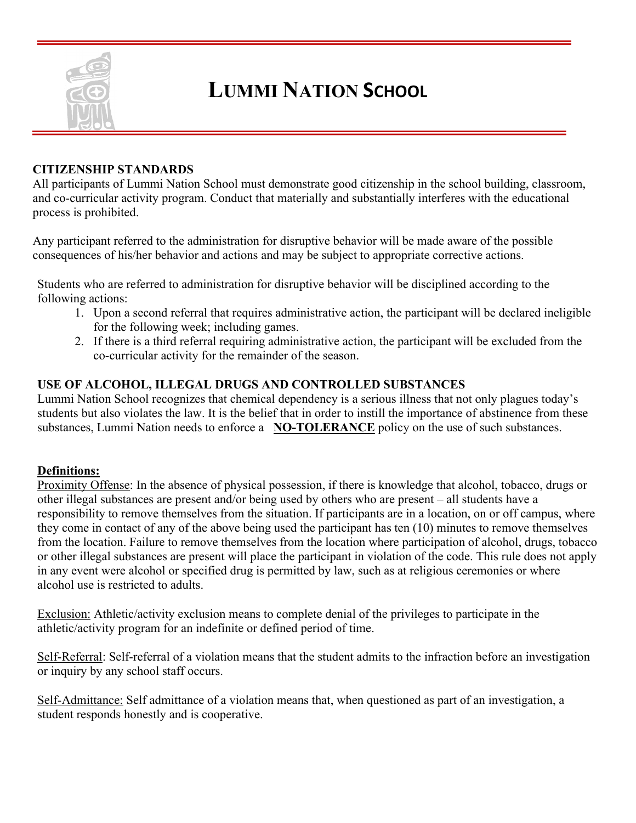

#### **CITIZENSHIP STANDARDS**

All participants of Lummi Nation School must demonstrate good citizenship in the school building, classroom, and co-curricular activity program. Conduct that materially and substantially interferes with the educational process is prohibited.

Any participant referred to the administration for disruptive behavior will be made aware of the possible consequences of his/her behavior and actions and may be subject to appropriate corrective actions.

Students who are referred to administration for disruptive behavior will be disciplined according to the following actions:

- 1. Upon a second referral that requires administrative action, the participant will be declared ineligible for the following week; including games.
- 2. If there is a third referral requiring administrative action, the participant will be excluded from the co-curricular activity for the remainder of the season.

#### **USE OF ALCOHOL, ILLEGAL DRUGS AND CONTROLLED SUBSTANCES**

Lummi Nation School recognizes that chemical dependency is a serious illness that not only plagues today's students but also violates the law. It is the belief that in order to instill the importance of abstinence from these substances, Lummi Nation needs to enforce a **NO-TOLERANCE** policy on the use of such substances.

#### **Definitions:**

Proximity Offense: In the absence of physical possession, if there is knowledge that alcohol, tobacco, drugs or other illegal substances are present and/or being used by others who are present – all students have a responsibility to remove themselves from the situation. If participants are in a location, on or off campus, where they come in contact of any of the above being used the participant has ten (10) minutes to remove themselves from the location. Failure to remove themselves from the location where participation of alcohol, drugs, tobacco or other illegal substances are present will place the participant in violation of the code. This rule does not apply in any event were alcohol or specified drug is permitted by law, such as at religious ceremonies or where alcohol use is restricted to adults.

Exclusion: Athletic/activity exclusion means to complete denial of the privileges to participate in the athletic/activity program for an indefinite or defined period of time.

Self-Referral: Self-referral of a violation means that the student admits to the infraction before an investigation or inquiry by any school staff occurs.

Self-Admittance: Self admittance of a violation means that, when questioned as part of an investigation, a student responds honestly and is cooperative.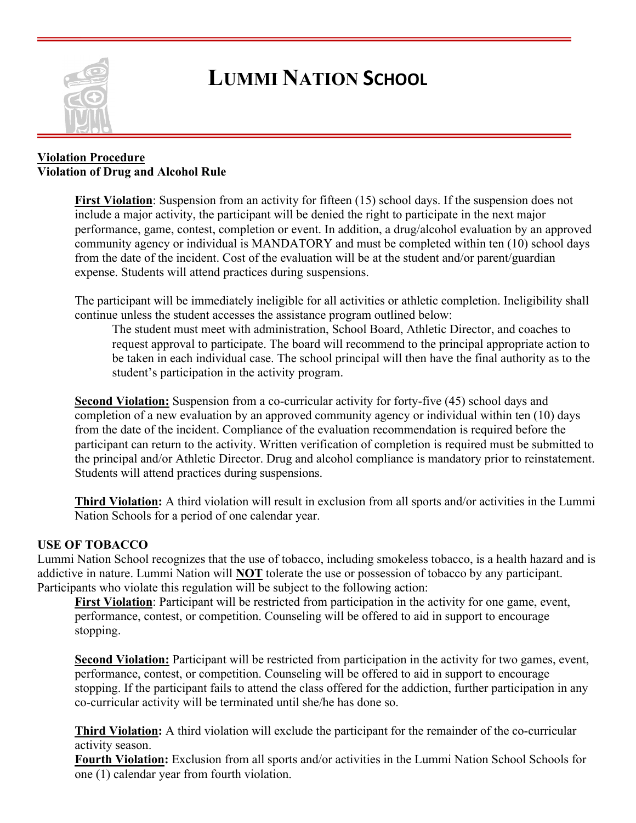

#### **Violation Procedure Violation of Drug and Alcohol Rule**

**First Violation**: Suspension from an activity for fifteen (15) school days. If the suspension does not include a major activity, the participant will be denied the right to participate in the next major performance, game, contest, completion or event. In addition, a drug/alcohol evaluation by an approved community agency or individual is MANDATORY and must be completed within ten (10) school days from the date of the incident. Cost of the evaluation will be at the student and/or parent/guardian expense. Students will attend practices during suspensions.

The participant will be immediately ineligible for all activities or athletic completion. Ineligibility shall continue unless the student accesses the assistance program outlined below:

The student must meet with administration, School Board, Athletic Director, and coaches to request approval to participate. The board will recommend to the principal appropriate action to be taken in each individual case. The school principal will then have the final authority as to the student's participation in the activity program.

**Second Violation:** Suspension from a co-curricular activity for forty-five (45) school days and completion of a new evaluation by an approved community agency or individual within ten (10) days from the date of the incident. Compliance of the evaluation recommendation is required before the participant can return to the activity. Written verification of completion is required must be submitted to the principal and/or Athletic Director. Drug and alcohol compliance is mandatory prior to reinstatement. Students will attend practices during suspensions.

**Third Violation:** A third violation will result in exclusion from all sports and/or activities in the Lummi Nation Schools for a period of one calendar year.

#### **USE OF TOBACCO**

Lummi Nation School recognizes that the use of tobacco, including smokeless tobacco, is a health hazard and is addictive in nature. Lummi Nation will **NOT** tolerate the use or possession of tobacco by any participant. Participants who violate this regulation will be subject to the following action:

**First Violation**: Participant will be restricted from participation in the activity for one game, event, performance, contest, or competition. Counseling will be offered to aid in support to encourage stopping.

**Second Violation:** Participant will be restricted from participation in the activity for two games, event, performance, contest, or competition. Counseling will be offered to aid in support to encourage stopping. If the participant fails to attend the class offered for the addiction, further participation in any co-curricular activity will be terminated until she/he has done so.

**Third Violation:** A third violation will exclude the participant for the remainder of the co-curricular activity season.

**Fourth Violation:** Exclusion from all sports and/or activities in the Lummi Nation School Schools for one (1) calendar year from fourth violation.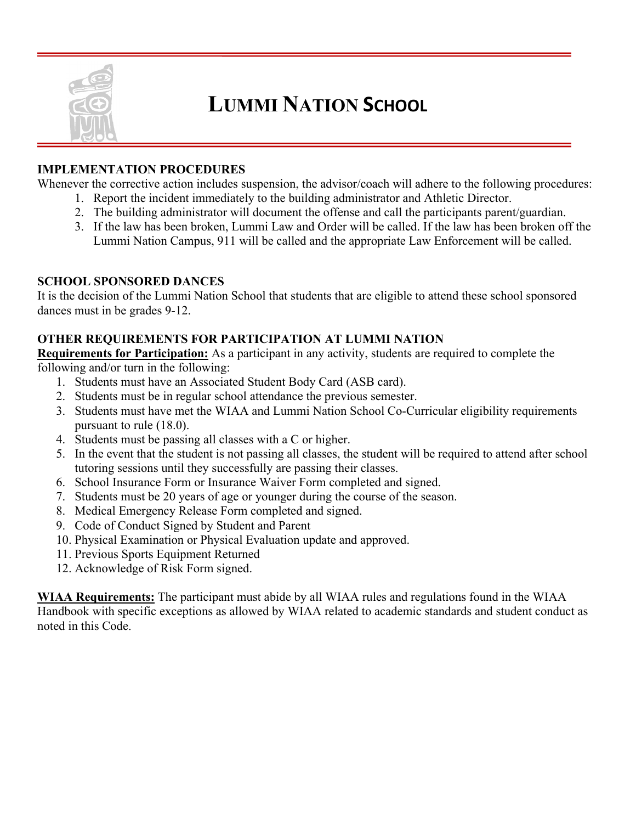

#### **IMPLEMENTATION PROCEDURES**

Whenever the corrective action includes suspension, the advisor/coach will adhere to the following procedures:

- 1. Report the incident immediately to the building administrator and Athletic Director.
- 2. The building administrator will document the offense and call the participants parent/guardian.
- 3. If the law has been broken, Lummi Law and Order will be called. If the law has been broken off the Lummi Nation Campus, 911 will be called and the appropriate Law Enforcement will be called.

#### **SCHOOL SPONSORED DANCES**

It is the decision of the Lummi Nation School that students that are eligible to attend these school sponsored dances must in be grades 9-12.

#### **OTHER REQUIREMENTS FOR PARTICIPATION AT LUMMI NATION**

**Requirements for Participation:** As a participant in any activity, students are required to complete the following and/or turn in the following:

- 1. Students must have an Associated Student Body Card (ASB card).
- 2. Students must be in regular school attendance the previous semester.
- 3. Students must have met the WIAA and Lummi Nation School Co-Curricular eligibility requirements pursuant to rule (18.0).
- 4. Students must be passing all classes with a C or higher.
- 5. In the event that the student is not passing all classes, the student will be required to attend after school tutoring sessions until they successfully are passing their classes.
- 6. School Insurance Form or Insurance Waiver Form completed and signed.
- 7. Students must be 20 years of age or younger during the course of the season.
- 8. Medical Emergency Release Form completed and signed.
- 9. Code of Conduct Signed by Student and Parent
- 10. Physical Examination or Physical Evaluation update and approved.
- 11. Previous Sports Equipment Returned
- 12. Acknowledge of Risk Form signed.

**WIAA Requirements:** The participant must abide by all WIAA rules and regulations found in the WIAA Handbook with specific exceptions as allowed by WIAA related to academic standards and student conduct as noted in this Code.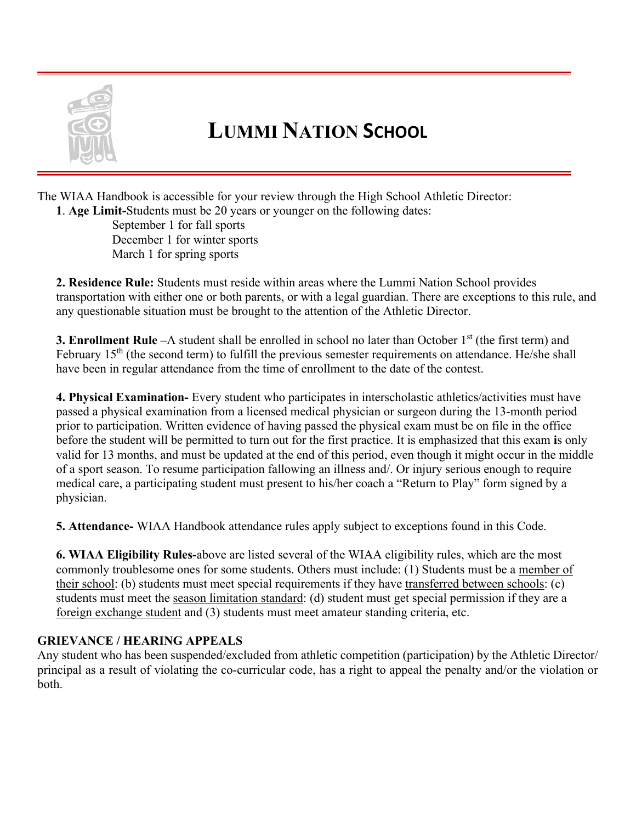

The WIAA Handbook is accessible for your review through the High School Athletic Director:

**1**. **Age Limit-**Students must be 20 years or younger on the following dates:

September 1 for fall sports December 1 for winter sports March 1 for spring sports

**2. Residence Rule:** Students must reside within areas where the Lummi Nation School provides transportation with either one or both parents, or with a legal guardian. There are exceptions to this rule, and any questionable situation must be brought to the attention of the Athletic Director.

**3. Enrollment Rule** –A student shall be enrolled in school no later than October 1<sup>st</sup> (the first term) and February  $15<sup>th</sup>$  (the second term) to fulfill the previous semester requirements on attendance. He/she shall have been in regular attendance from the time of enrollment to the date of the contest.

**4. Physical Examination-** Every student who participates in interscholastic athletics/activities must have passed a physical examination from a licensed medical physician or surgeon during the 13-month period prior to participation. Written evidence of having passed the physical exam must be on file in the office before the student will be permitted to turn out for the first practice. It is emphasized that this exam **i**s only valid for 13 months, and must be updated at the end of this period, even though it might occur in the middle of a sport season. To resume participation fallowing an illness and/. Or injury serious enough to require medical care, a participating student must present to his/her coach a "Return to Play" form signed by a physician.

**5. Attendance-** WIAA Handbook attendance rules apply subject to exceptions found in this Code.

**6. WIAA Eligibility Rules-**above are listed several of the WIAA eligibility rules, which are the most commonly troublesome ones for some students. Others must include: (1) Students must be a member of their school: (b) students must meet special requirements if they have transferred between schools: (c) students must meet the season limitation standard: (d) student must get special permission if they are a foreign exchange student and (3) students must meet amateur standing criteria, etc.

#### **GRIEVANCE / HEARING APPEALS**

Any student who has been suspended/excluded from athletic competition (participation) by the Athletic Director/ principal as a result of violating the co-curricular code, has a right to appeal the penalty and/or the violation or both.